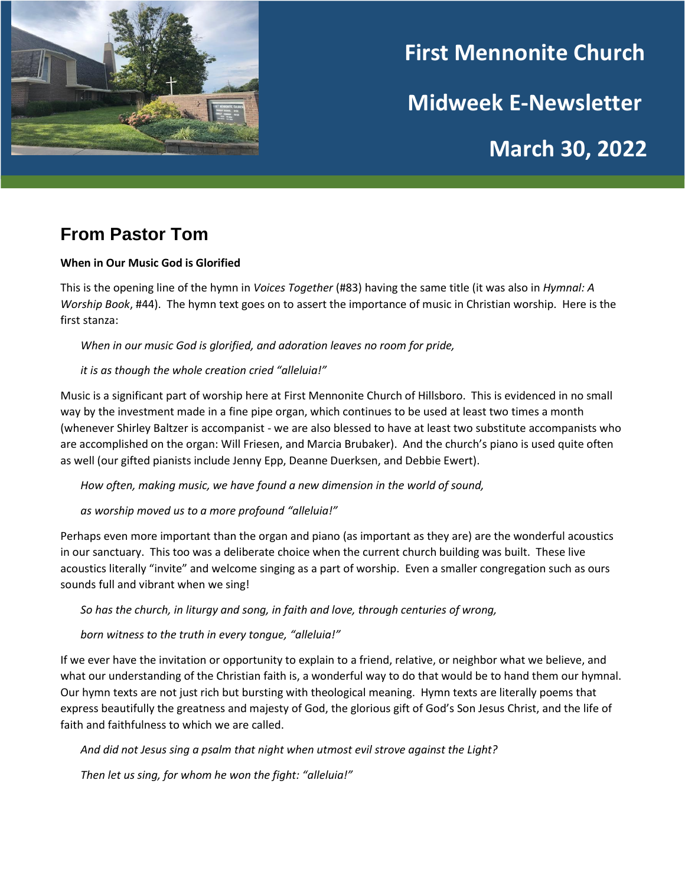

# **First Mennonite Church Midweek E-Newsletter March 30, 2022**

## **From Pastor Tom**

#### **When in Our Music God is Glorified**

This is the opening line of the hymn in *Voices Together* (#83) having the same title (it was also in *Hymnal: A Worship Book*, #44). The hymn text goes on to assert the importance of music in Christian worship. Here is the first stanza:

*When in our music God is glorified, and adoration leaves no room for pride,*

#### *it is as though the whole creation cried "alleluia!"*

Music is a significant part of worship here at First Mennonite Church of Hillsboro. This is evidenced in no small way by the investment made in a fine pipe organ, which continues to be used at least two times a month (whenever Shirley Baltzer is accompanist - we are also blessed to have at least two substitute accompanists who are accomplished on the organ: Will Friesen, and Marcia Brubaker). And the church's piano is used quite often as well (our gifted pianists include Jenny Epp, Deanne Duerksen, and Debbie Ewert).

*How often, making music, we have found a new dimension in the world of sound,* 

*as worship moved us to a more profound "alleluia!"*

Perhaps even more important than the organ and piano (as important as they are) are the wonderful acoustics in our sanctuary. This too was a deliberate choice when the current church building was built. These live acoustics literally "invite" and welcome singing as a part of worship. Even a smaller congregation such as ours sounds full and vibrant when we sing!

*So has the church, in liturgy and song, in faith and love, through centuries of wrong,* 

*born witness to the truth in every tongue, "alleluia!"*

If we ever have the invitation or opportunity to explain to a friend, relative, or neighbor what we believe, and what our understanding of the Christian faith is, a wonderful way to do that would be to hand them our hymnal. Our hymn texts are not just rich but bursting with theological meaning. Hymn texts are literally poems that express beautifully the greatness and majesty of God, the glorious gift of God's Son Jesus Christ, and the life of faith and faithfulness to which we are called.

*And did not Jesus sing a psalm that night when utmost evil strove against the Light?*

*Then let us sing, for whom he won the fight: "alleluia!"*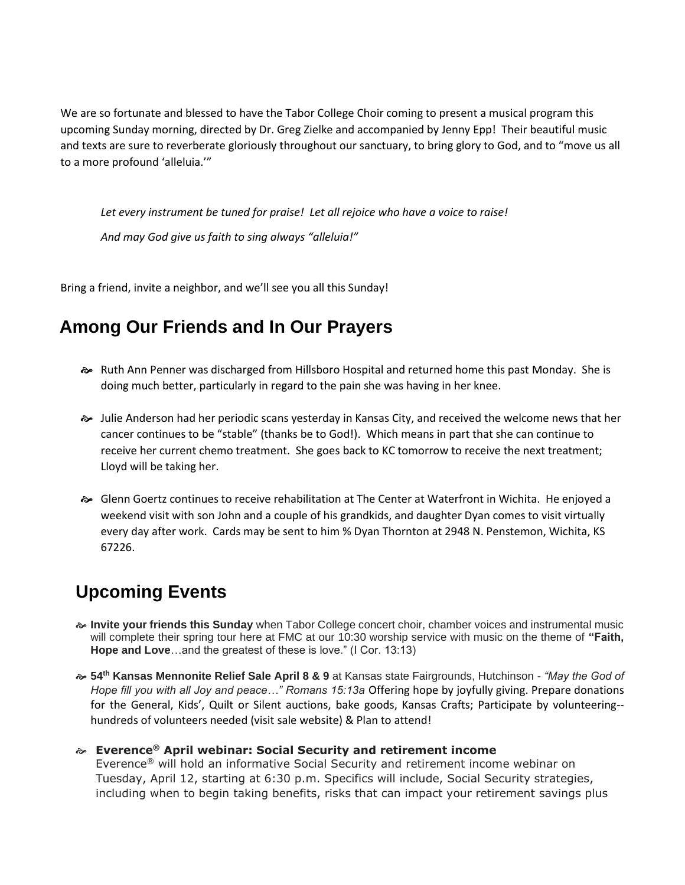We are so fortunate and blessed to have the Tabor College Choir coming to present a musical program this upcoming Sunday morning, directed by Dr. Greg Zielke and accompanied by Jenny Epp! Their beautiful music and texts are sure to reverberate gloriously throughout our sanctuary, to bring glory to God, and to "move us all to a more profound 'alleluia.'"

*Let every instrument be tuned for praise! Let all rejoice who have a voice to raise! And may God give us faith to sing always "alleluia!"*

Bring a friend, invite a neighbor, and we'll see you all this Sunday!

## **Among Our Friends and In Our Prayers**

- Ruth Ann Penner was discharged from Hillsboro Hospital and returned home this past Monday. She is doing much better, particularly in regard to the pain she was having in her knee.
- Julie Anderson had her periodic scans yesterday in Kansas City, and received the welcome news that her cancer continues to be "stable" (thanks be to God!). Which means in part that she can continue to receive her current chemo treatment. She goes back to KC tomorrow to receive the next treatment; Lloyd will be taking her.
- Glenn Goertz continues to receive rehabilitation at The Center at Waterfront in Wichita. He enjoyed a weekend visit with son John and a couple of his grandkids, and daughter Dyan comes to visit virtually every day after work. Cards may be sent to him % Dyan Thornton at 2948 N. Penstemon, Wichita, KS 67226.

# **Upcoming Events**

- **Invite your friends this Sunday** when Tabor College concert choir, chamber voices and instrumental music will complete their spring tour here at FMC at our 10:30 worship service with music on the theme of **"Faith, Hope and Love**…and the greatest of these is love." (I Cor. 13:13)
- **54th Kansas Mennonite Relief Sale April 8 & 9** at Kansas state Fairgrounds, Hutchinson *- "May the God of Hope fill you with all Joy and peace…" Romans 15:13a* Offering hope by joyfully giving. Prepare donations for the General, Kids', Quilt or Silent auctions, bake goods, Kansas Crafts; Participate by volunteering- hundreds of volunteers needed (visit sale website) & Plan to attend!

#### **Everence® April webinar: Social Security and retirement income**

Everence® will hold an informative Social Security and retirement income webinar on Tuesday, April 12, starting at 6:30 p.m. Specifics will include, Social Security strategies, including when to begin taking benefits, risks that can impact your retirement savings plus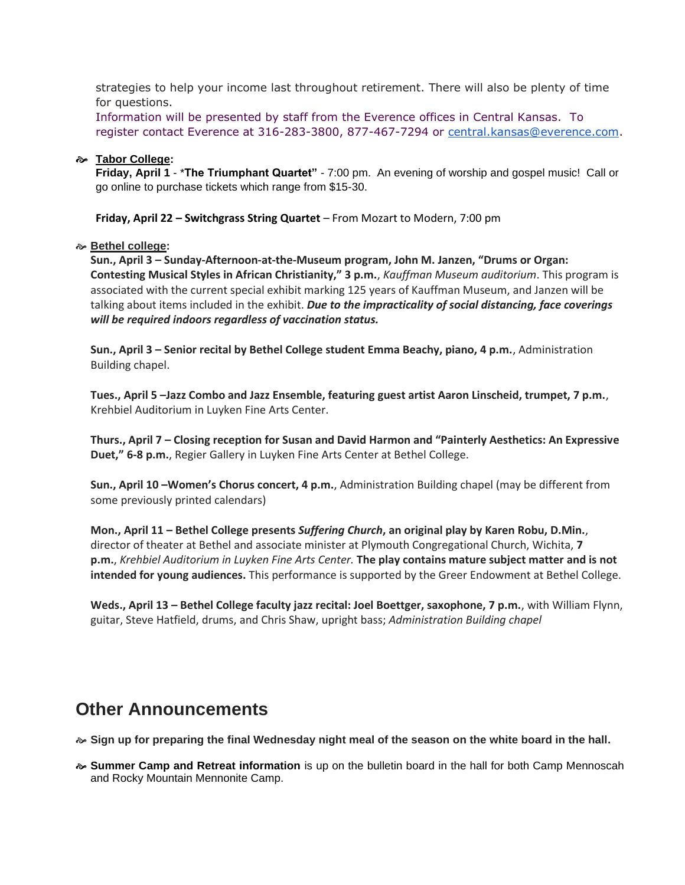strategies to help your income last throughout retirement. There will also be plenty of time for questions.

Information will be presented by staff from the Everence offices in Central Kansas. To register contact Everence at 316-283-3800, 877-467-7294 or [central.kansas@everence.com.](mailto:central.kansas@everence.com)

#### **Tabor College:**

**Friday, April 1** - \***The Triumphant Quartet"** - 7:00 pm. An evening of worship and gospel music! Call or go online to purchase tickets which range from \$15-30.

**Friday, April 22 – Switchgrass String Quartet** – From Mozart to Modern, 7:00 pm

#### **Bethel college:**

**Sun., April 3 – Sunday-Afternoon-at-the-Museum program, John M. Janzen, "Drums or Organ: Contesting Musical Styles in African Christianity," 3 p.m.**, *Kauffman Museum auditorium*. This program is associated with the current special exhibit marking 125 years of Kauffman Museum, and Janzen will be talking about items included in the exhibit. *Due to the impracticality of social distancing, face coverings will be required indoors regardless of vaccination status.*

**Sun., April 3 – Senior recital by Bethel College student Emma Beachy, piano, 4 p.m.**, Administration Building chapel.

**Tues., April 5 –Jazz Combo and Jazz Ensemble, featuring guest artist Aaron Linscheid, trumpet, 7 p.m.**, Krehbiel Auditorium in Luyken Fine Arts Center.

**Thurs., April 7 – Closing reception for Susan and David Harmon and "Painterly Aesthetics: An Expressive Duet," 6-8 p.m.**, Regier Gallery in Luyken Fine Arts Center at Bethel College.

**Sun., April 10 –Women's Chorus concert, 4 p.m.**, Administration Building chapel (may be different from some previously printed calendars)

**Mon., April 11 – Bethel College presents** *Suffering Church***, an original play by Karen Robu, D.Min.**, director of theater at Bethel and associate minister at Plymouth Congregational Church, Wichita, **7 p.m.**, *Krehbiel Auditorium in Luyken Fine Arts Center.* **The play contains mature subject matter and is not intended for young audiences.** This performance is supported by the Greer Endowment at Bethel College.

**Weds., April 13 – Bethel College faculty jazz recital: Joel Boettger, saxophone, 7 p.m.**, with William Flynn, guitar, Steve Hatfield, drums, and Chris Shaw, upright bass; *Administration Building chapel*

## **Other Announcements**

**Sign up for preparing the final Wednesday night meal of the season on the white board in the hall.** 

 **Summer Camp and Retreat information** is up on the bulletin board in the hall for both Camp Mennoscah and Rocky Mountain Mennonite Camp.